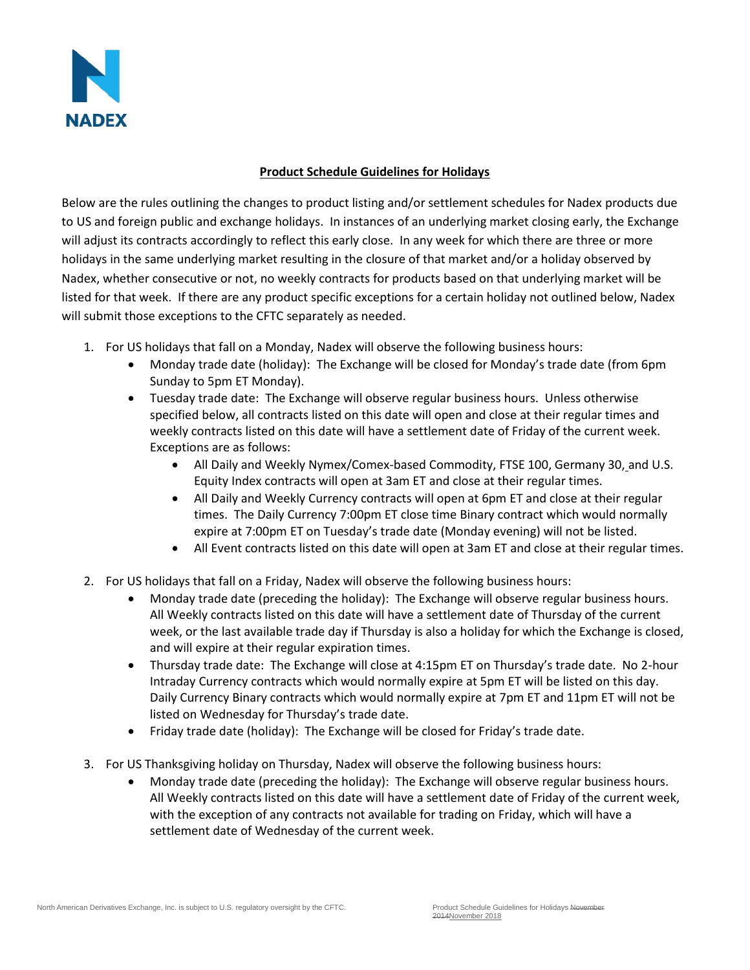

## **Product Schedule Guidelines for Holidays**

Below are the rules outlining the changes to product listing and/or settlement schedules for Nadex products due to US and foreign public and exchange holidays. In instances of an underlying market closing early, the Exchange will adjust its contracts accordingly to reflect this early close. In any week for which there are three or more holidays in the same underlying market resulting in the closure of that market and/or a holiday observed by Nadex, whether consecutive or not, no weekly contracts for products based on that underlying market will be listed for that week. If there are any product specific exceptions for a certain holiday not outlined below, Nadex will submit those exceptions to the CFTC separately as needed.

- 1. For US holidays that fall on a Monday, Nadex will observe the following business hours:
	- Monday trade date (holiday): The Exchange will be closed for Monday's trade date (from 6pm Sunday to 5pm ET Monday).
	- Tuesday trade date: The Exchange will observe regular business hours. Unless otherwise specified below, all contracts listed on this date will open and close at their regular times and weekly contracts listed on this date will have a settlement date of Friday of the current week. Exceptions are as follows:
		- All Daily and Weekly Nymex/Comex-based Commodity, FTSE 100, Germany 30, and U.S. Equity Index contracts will open at 3am ET and close at their regular times.
		- All Daily and Weekly Currency contracts will open at 6pm ET and close at their regular times. The Daily Currency 7:00pm ET close time Binary contract which would normally expire at 7:00pm ET on Tuesday's trade date (Monday evening) will not be listed.
		- All Event contracts listed on this date will open at 3am ET and close at their regular times.
- 2. For US holidays that fall on a Friday, Nadex will observe the following business hours:
	- Monday trade date (preceding the holiday): The Exchange will observe regular business hours. All Weekly contracts listed on this date will have a settlement date of Thursday of the current week, or the last available trade day if Thursday is also a holiday for which the Exchange is closed, and will expire at their regular expiration times.
	- Thursday trade date: The Exchange will close at 4:15pm ET on Thursday's trade date. No 2-hour Intraday Currency contracts which would normally expire at 5pm ET will be listed on this day. Daily Currency Binary contracts which would normally expire at 7pm ET and 11pm ET will not be listed on Wednesday for Thursday's trade date.
	- Friday trade date (holiday): The Exchange will be closed for Friday's trade date.
- 3. For US Thanksgiving holiday on Thursday, Nadex will observe the following business hours:
	- Monday trade date (preceding the holiday): The Exchange will observe regular business hours. All Weekly contracts listed on this date will have a settlement date of Friday of the current week, with the exception of any contracts not available for trading on Friday, which will have a settlement date of Wednesday of the current week.